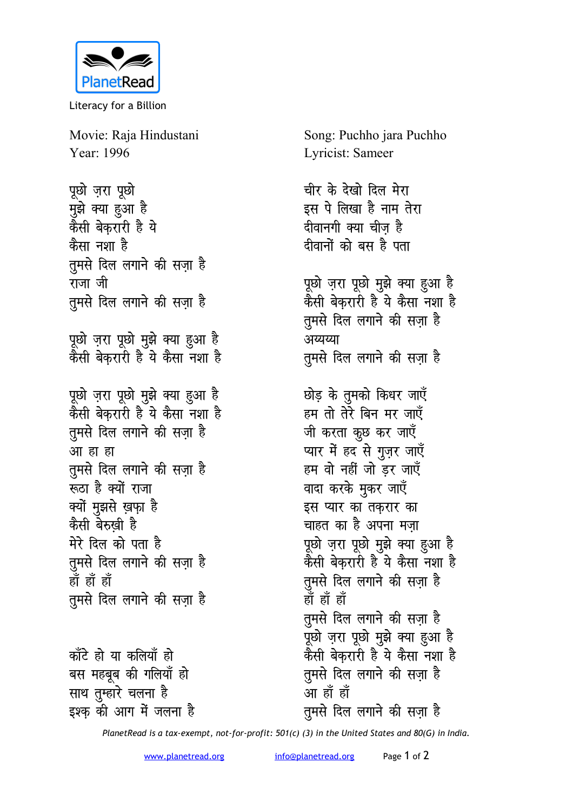

Literacy for a Billion

Movie: Raja Hindustani Year: 1996

पूछो ज़रा पूछो मुझे क्या हुआ है कैसी बेकरारी है ये कैसा नशा है तुमसे दिल लगाने की सज़ा है राजा जी तमसे दिल लगाने की सजा है पूछो ज़रा पूछो मुझे क्या हुआ है कैसी बेकरारी है ये कैसा नशा है पूछो ज़रा पूछो मुझे क्या हुआ है कैसी बेकरारी है ये कैसा नशा है तुमसे दिल लगाने की सज़ा है आ हा हा तूमसे दिल लगाने की सज़ा है रूठा है क्यों राजा क्यों मुझसे ख़फा है

कैसी बेरुखी है मेरे दिल को पता है तुमसे दिल लगाने की सज़ा है हाँ हाँ हाँ तुमसे दिल लगाने की सज़ा है

काँटे हो या कलियाँ हो बस महबूब की गलियाँ हो साथ तुम्हारे चलना है इश्क की आग में जलना है

Song: Puchho jara Puchho Lyricist: Sameer चीर के देखो दिल मेरा इस पे लिखा है नाम तेरा दीवानगी क्या चीज है दीवानों को बस है पता पूछो ज़रा पूछो मुझे क्या हुआ है कैसी बेकरारी है ये कैसा नशा है तुमसे दिल लगाने की सजा है अय्यय्या तुमसे दिल लगाने की सज़ा है छोड़ के तुमको किधर जाएँ हम तो तेरे बिन मर जाएँ जी करता कुछ कर जाएँ प्यार में हद से गुज़र जाएँ हम वो नहीं जो डर जाएँ वादा करके मुकर जाएँ इस प्यार का तकरार का चाहत का है अपना मजा पूछो ज़रा पूछो मुझे क्या हुआ है कैसी बेकरारी है ये कैसा नशा है तुमसे दिल लगाने की सज़ा है <u>ਸ਼ੌਂ ਸ਼ੌਂ ਸ਼ੌ</u> तुमसे दिल लगाने की सजा है पूछो ज़रा पूछो मुझे क्या हुआ है

कैसी बेकुरारी है ये कैसा नशा है तुमसे दिल लगाने की सज़ा है आ हाँ हाँ तुमसे दिल लगाने की सजा है

PlanetRead is a tax-exempt, not-for-profit: 501(c) (3) in the United States and 80(G) in India.